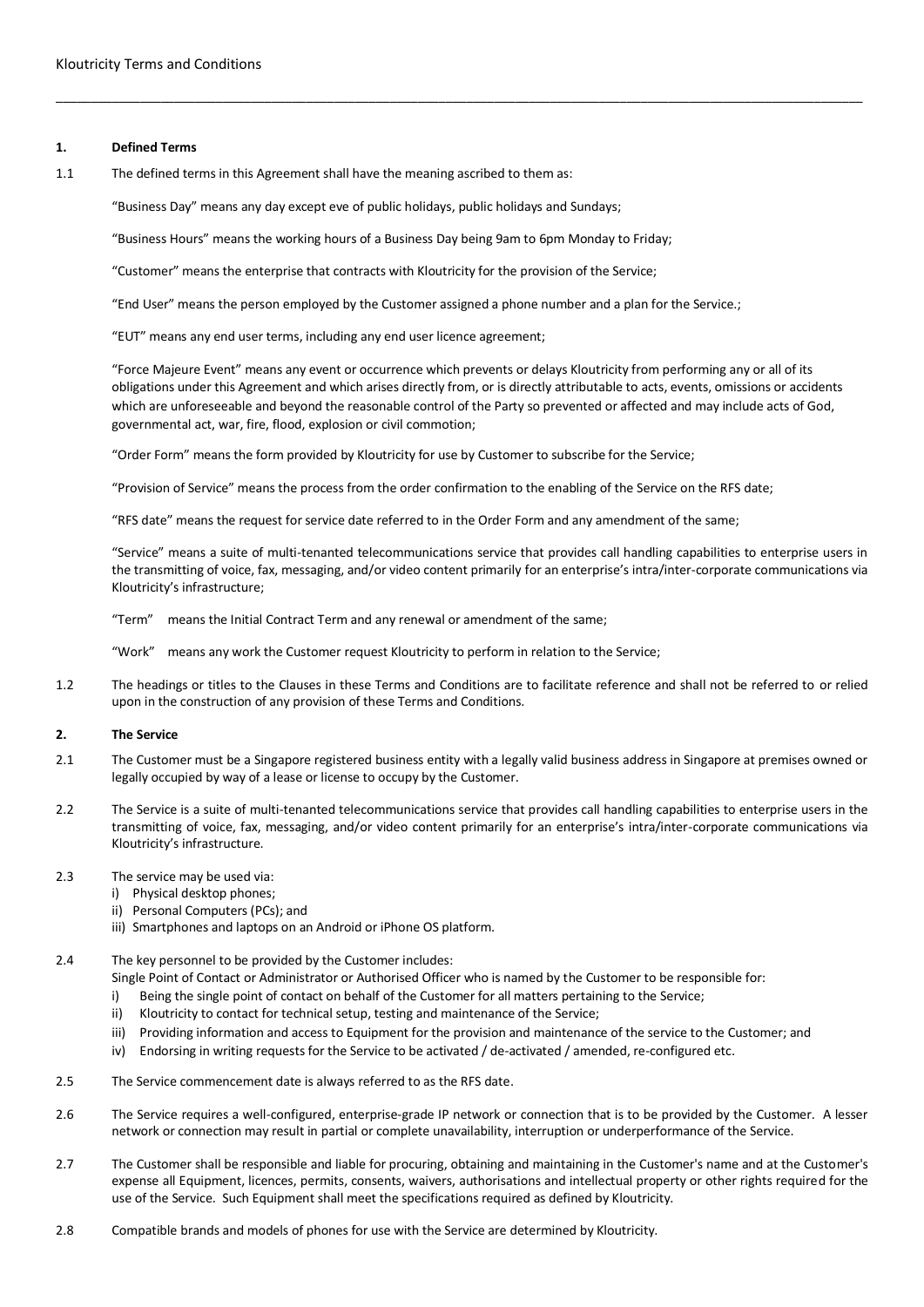### **1. Defined Terms**

1.1 The defined terms in this Agreement shall have the meaning ascribed to them as:

"Business Day" means any day except eve of public holidays, public holidays and Sundays;

"Business Hours" means the working hours of a Business Day being 9am to 6pm Monday to Friday;

"Customer" means the enterprise that contracts with Kloutricity for the provision of the Service;

"End User" means the person employed by the Customer assigned a phone number and a plan for the Service.;

\_\_\_\_\_\_\_\_\_\_\_\_\_\_\_\_\_\_\_\_\_\_\_\_\_\_\_\_\_\_\_\_\_\_\_\_\_\_\_\_\_\_\_\_\_\_\_\_\_\_\_\_\_\_\_\_\_\_\_\_\_\_\_\_\_\_\_\_\_\_\_\_\_\_\_\_\_\_\_\_\_\_\_\_\_\_\_\_\_\_\_\_\_\_\_\_\_\_\_\_\_\_\_\_\_\_\_\_\_\_\_\_\_\_\_\_

"EUT" means any end user terms, including any end user licence agreement;

"Force Majeure Event" means any event or occurrence which prevents or delays Kloutricity from performing any or all of its obligations under this Agreement and which arises directly from, or is directly attributable to acts, events, omissions or accidents which are unforeseeable and beyond the reasonable control of the Party so prevented or affected and may include acts of God, governmental act, war, fire, flood, explosion or civil commotion;

"Order Form" means the form provided by Kloutricity for use by Customer to subscribe for the Service;

"Provision of Service" means the process from the order confirmation to the enabling of the Service on the RFS date;

"RFS date" means the request for service date referred to in the Order Form and any amendment of the same;

"Service" means a suite of multi-tenanted telecommunications service that provides call handling capabilities to enterprise users in the transmitting of voice, fax, messaging, and/or video content primarily for an enterprise's intra/inter-corporate communications via Kloutricity's infrastructure;

"Term" means the Initial Contract Term and any renewal or amendment of the same;

"Work" means any work the Customer request Kloutricity to perform in relation to the Service;

1.2 The headings or titles to the Clauses in these Terms and Conditions are to facilitate reference and shall not be referred to or relied upon in the construction of any provision of these Terms and Conditions.

# **2. The Service**

- 2.1 The Customer must be a Singapore registered business entity with a legally valid business address in Singapore at premises owned or legally occupied by way of a lease or license to occupy by the Customer.
- 2.2 The Service is a suite of multi-tenanted telecommunications service that provides call handling capabilities to enterprise users in the transmitting of voice, fax, messaging, and/or video content primarily for an enterprise's intra/inter-corporate communications via Kloutricity's infrastructure.
- 2.3 The service may be used via:
	- i) Physical desktop phones;
	- ii) Personal Computers (PCs); and
	- iii) Smartphones and laptops on an Android or iPhone OS platform.
- 2.4 The key personnel to be provided by the Customer includes:
	- Single Point of Contact or Administrator or Authorised Officer who is named by the Customer to be responsible for:
	- i) Being the single point of contact on behalf of the Customer for all matters pertaining to the Service;
	- ii) Kloutricity to contact for technical setup, testing and maintenance of the Service;
	- iii) Providing information and access to Equipment for the provision and maintenance of the service to the Customer; and
	- iv) Endorsing in writing requests for the Service to be activated / de-activated / amended, re-configured etc.
- 2.5 The Service commencement date is always referred to as the RFS date.
- 2.6 The Service requires a well-configured, enterprise-grade IP network or connection that is to be provided by the Customer. A lesser network or connection may result in partial or complete unavailability, interruption or underperformance of the Service.
- 2.7 The Customer shall be responsible and liable for procuring, obtaining and maintaining in the Customer's name and at the Customer's expense all Equipment, licences, permits, consents, waivers, authorisations and intellectual property or other rights required for the use of the Service. Such Equipment shall meet the specifications required as defined by Kloutricity.
- 2.8 Compatible brands and models of phones for use with the Service are determined by Kloutricity.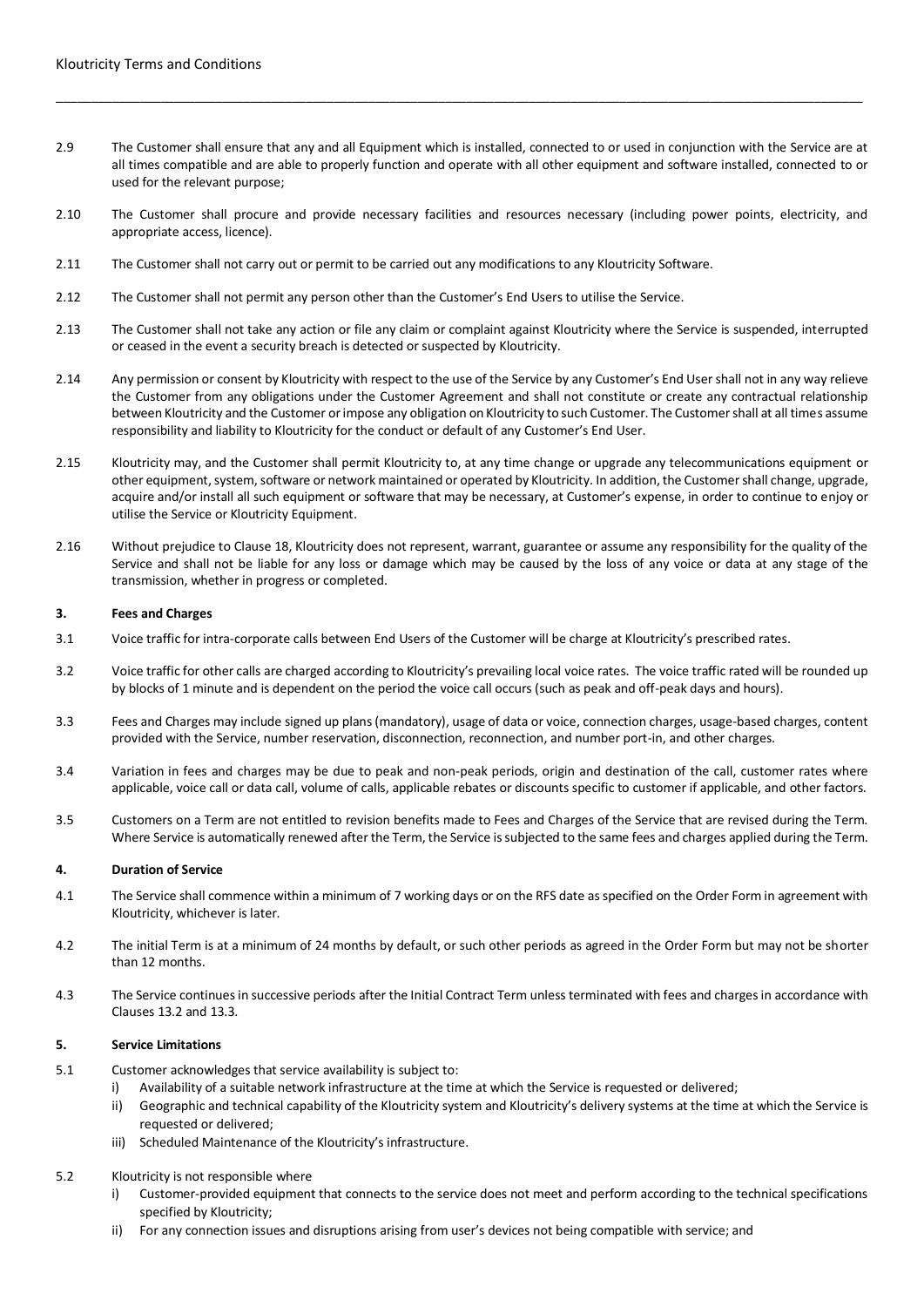2.9 The Customer shall ensure that any and all Equipment which is installed, connected to or used in conjunction with the Service are at all times compatible and are able to properly function and operate with all other equipment and software installed, connected to or used for the relevant purpose;

\_\_\_\_\_\_\_\_\_\_\_\_\_\_\_\_\_\_\_\_\_\_\_\_\_\_\_\_\_\_\_\_\_\_\_\_\_\_\_\_\_\_\_\_\_\_\_\_\_\_\_\_\_\_\_\_\_\_\_\_\_\_\_\_\_\_\_\_\_\_\_\_\_\_\_\_\_\_\_\_\_\_\_\_\_\_\_\_\_\_\_\_\_\_\_\_\_\_\_\_\_\_\_\_\_\_\_\_\_\_\_\_\_\_\_\_

- 2.10 The Customer shall procure and provide necessary facilities and resources necessary (including power points, electricity, and appropriate access, licence).
- 2.11 The Customer shall not carry out or permit to be carried out any modifications to any Kloutricity Software.
- 2.12 The Customer shall not permit any person other than the Customer's End Users to utilise the Service.
- 2.13 The Customer shall not take any action or file any claim or complaint against Kloutricity where the Service is suspended, interrupted or ceased in the event a security breach is detected or suspected by Kloutricity.
- 2.14 Any permission or consent by Kloutricity with respect to the use of the Service by any Customer's End User shall not in any way relieve the Customer from any obligations under the Customer Agreement and shall not constitute or create any contractual relationship between Kloutricity and the Customer or impose any obligation on Kloutricity to such Customer. The Customer shall at all times assume responsibility and liability to Kloutricity for the conduct or default of any Customer's End User.
- 2.15 Kloutricity may, and the Customer shall permit Kloutricity to, at any time change or upgrade any telecommunications equipment or other equipment, system, software or network maintained or operated by Kloutricity. In addition, the Customer shall change, upgrade, acquire and/or install all such equipment or software that may be necessary, at Customer's expense, in order to continue to enjoy or utilise the Service or Kloutricity Equipment.
- 2.16 Without prejudice to Clause 18, Kloutricity does not represent, warrant, guarantee or assume any responsibility for the quality of the Service and shall not be liable for any loss or damage which may be caused by the loss of any voice or data at any stage of the transmission, whether in progress or completed.

#### **3. Fees and Charges**

- 3.1 Voice traffic for intra-corporate calls between End Users of the Customer will be charge at Kloutricity's prescribed rates.
- 3.2 Voice traffic for other calls are charged according to Kloutricity's prevailing local voice rates. The voice traffic rated will be rounded up by blocks of 1 minute and is dependent on the period the voice call occurs (such as peak and off-peak days and hours).
- 3.3 Fees and Charges may include signed up plans (mandatory), usage of data or voice, connection charges, usage-based charges, content provided with the Service, number reservation, disconnection, reconnection, and number port-in, and other charges.
- 3.4 Variation in fees and charges may be due to peak and non-peak periods, origin and destination of the call, customer rates where applicable, voice call or data call, volume of calls, applicable rebates or discounts specific to customer if applicable, and other factors.
- 3.5 Customers on a Term are not entitled to revision benefits made to Fees and Charges of the Service that are revised during the Term. Where Service is automatically renewed after the Term, the Service is subjected to the same fees and charges applied during the Term.

#### **4. Duration of Service**

- 4.1 The Service shall commence within a minimum of 7 working days or on the RFS date as specified on the Order Form in agreement with Kloutricity, whichever is later.
- 4.2 The initial Term is at a minimum of 24 months by default, or such other periods as agreed in the Order Form but may not be shorter than 12 months.
- 4.3 The Service continues in successive periods after the Initial Contract Term unless terminated with fees and charges in accordance with Clauses 13.2 and 13.3.

# **5. Service Limitations**

- 5.1 Customer acknowledges that service availability is subject to:
	- i) Availability of a suitable network infrastructure at the time at which the Service is requested or delivered;
	- ii) Geographic and technical capability of the Kloutricity system and Kloutricity's delivery systems at the time at which the Service is requested or delivered;
	- iii) Scheduled Maintenance of the Kloutricity's infrastructure.

#### 5.2 Kloutricity is not responsible where

- i) Customer-provided equipment that connects to the service does not meet and perform according to the technical specifications specified by Kloutricity;
- ii) For any connection issues and disruptions arising from user's devices not being compatible with service; and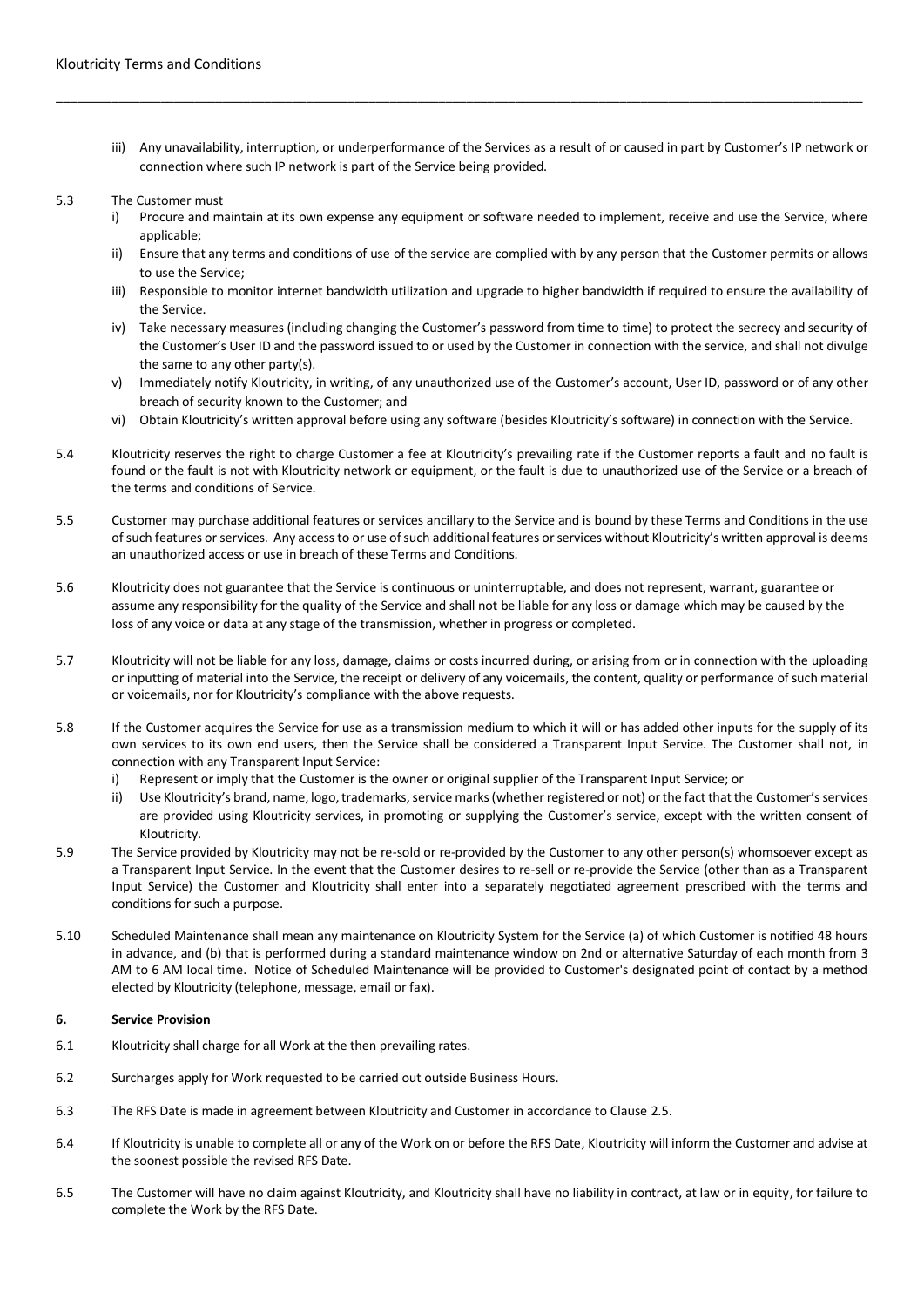iii) Any unavailability, interruption, or underperformance of the Services as a result of or caused in part by Customer's IP network or connection where such IP network is part of the Service being provided.

\_\_\_\_\_\_\_\_\_\_\_\_\_\_\_\_\_\_\_\_\_\_\_\_\_\_\_\_\_\_\_\_\_\_\_\_\_\_\_\_\_\_\_\_\_\_\_\_\_\_\_\_\_\_\_\_\_\_\_\_\_\_\_\_\_\_\_\_\_\_\_\_\_\_\_\_\_\_\_\_\_\_\_\_\_\_\_\_\_\_\_\_\_\_\_\_\_\_\_\_\_\_\_\_\_\_\_\_\_\_\_\_\_\_\_\_

#### 5.3 The Customer must

- Procure and maintain at its own expense any equipment or software needed to implement, receive and use the Service, where applicable:
- ii) Ensure that any terms and conditions of use of the service are complied with by any person that the Customer permits or allows to use the Service;
- iii) Responsible to monitor internet bandwidth utilization and upgrade to higher bandwidth if required to ensure the availability of the Service.
- iv) Take necessary measures (including changing the Customer's password from time to time) to protect the secrecy and security of the Customer's User ID and the password issued to or used by the Customer in connection with the service, and shall not divulge the same to any other party(s).
- v) Immediately notify Kloutricity, in writing, of any unauthorized use of the Customer's account, User ID, password or of any other breach of security known to the Customer; and
- vi) Obtain Kloutricity's written approval before using any software (besides Kloutricity's software) in connection with the Service.
- 5.4 Kloutricity reserves the right to charge Customer a fee at Kloutricity's prevailing rate if the Customer reports a fault and no fault is found or the fault is not with Kloutricity network or equipment, or the fault is due to unauthorized use of the Service or a breach of the terms and conditions of Service.
- 5.5 Customer may purchase additional features or services ancillary to the Service and is bound by these Terms and Conditions in the use of such features or services. Any access to or use of such additional features or services without Kloutricity's written approval is deems an unauthorized access or use in breach of these Terms and Conditions.
- 5.6 Kloutricity does not guarantee that the Service is continuous or uninterruptable, and does not represent, warrant, guarantee or assume any responsibility for the quality of the Service and shall not be liable for any loss or damage which may be caused by the loss of any voice or data at any stage of the transmission, whether in progress or completed.
- 5.7 Kloutricity will not be liable for any loss, damage, claims or costs incurred during, or arising from or in connection with the uploading or inputting of material into the Service, the receipt or delivery of any voicemails, the content, quality or performance of such material or voicemails, nor for Kloutricity's compliance with the above requests.
- 5.8 If the Customer acquires the Service for use as a transmission medium to which it will or has added other inputs for the supply of its own services to its own end users, then the Service shall be considered a Transparent Input Service. The Customer shall not, in connection with any Transparent Input Service:
	- i) Represent or imply that the Customer is the owner or original supplier of the Transparent Input Service; or
	- ii) Use Kloutricity's brand, name, logo, trademarks, service marks (whether registered or not) or the fact that the Customer's services are provided using Kloutricity services, in promoting or supplying the Customer's service, except with the written consent of Kloutricity.
- 5.9 The Service provided by Kloutricity may not be re-sold or re-provided by the Customer to any other person(s) whomsoever except as a Transparent Input Service. In the event that the Customer desires to re-sell or re-provide the Service (other than as a Transparent Input Service) the Customer and Kloutricity shall enter into a separately negotiated agreement prescribed with the terms and conditions for such a purpose.
- 5.10 Scheduled Maintenance shall mean any maintenance on Kloutricity System for the Service (a) of which Customer is notified 48 hours in advance, and (b) that is performed during a standard maintenance window on 2nd or alternative Saturday of each month from 3 AM to 6 AM local time. Notice of Scheduled Maintenance will be provided to Customer's designated point of contact by a method elected by Kloutricity (telephone, message, email or fax).

# **6. Service Provision**

- 6.1 Kloutricity shall charge for all Work at the then prevailing rates.
- 6.2 Surcharges apply for Work requested to be carried out outside Business Hours.
- 6.3 The RFS Date is made in agreement between Kloutricity and Customer in accordance to Clause 2.5.
- 6.4 If Kloutricity is unable to complete all or any of the Work on or before the RFS Date, Kloutricity will inform the Customer and advise at the soonest possible the revised RFS Date.
- 6.5 The Customer will have no claim against Kloutricity, and Kloutricity shall have no liability in contract, at law or in equity, for failure to complete the Work by the RFS Date.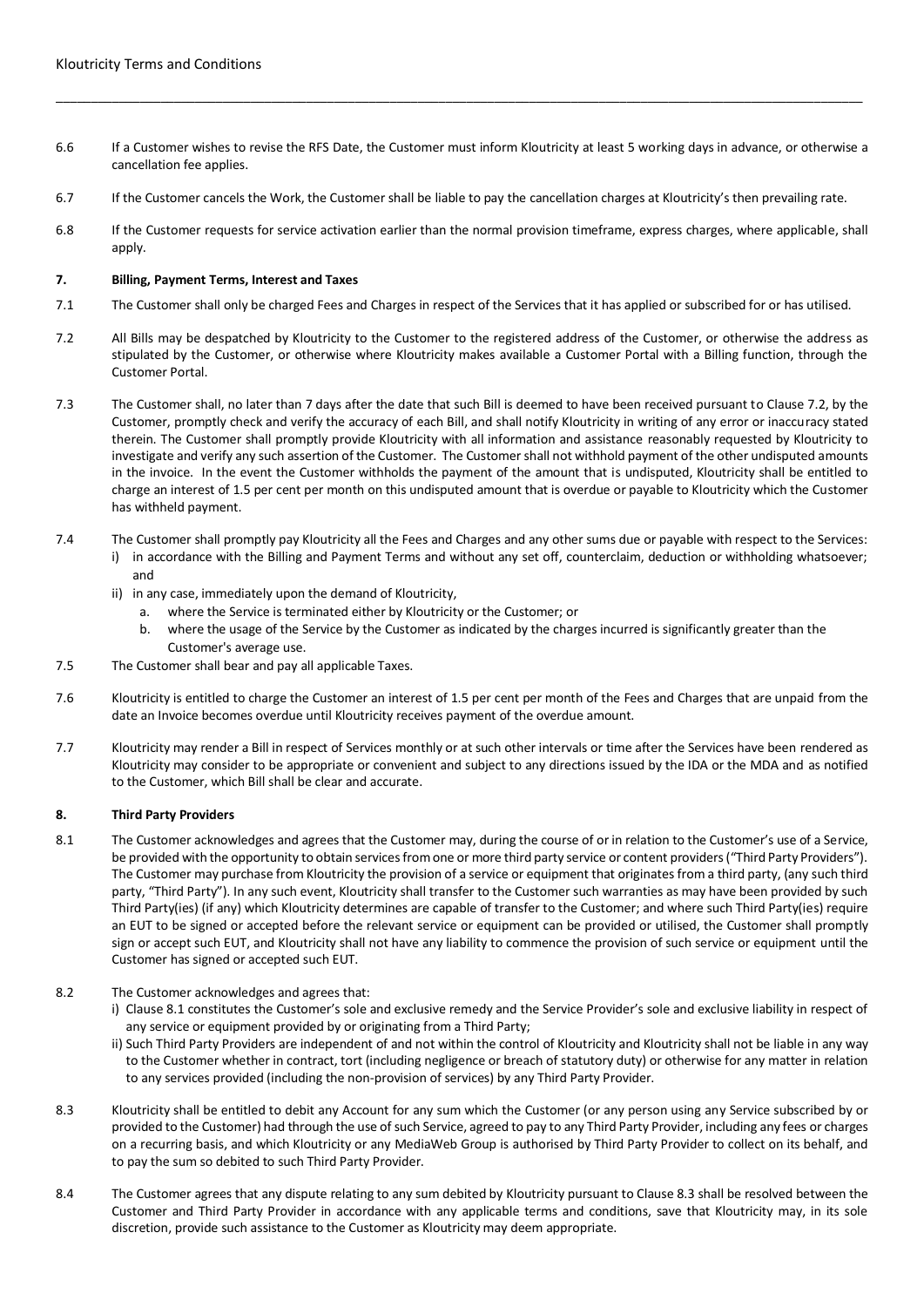6.6 If a Customer wishes to revise the RFS Date, the Customer must inform Kloutricity at least 5 working days in advance, or otherwise a cancellation fee applies.

\_\_\_\_\_\_\_\_\_\_\_\_\_\_\_\_\_\_\_\_\_\_\_\_\_\_\_\_\_\_\_\_\_\_\_\_\_\_\_\_\_\_\_\_\_\_\_\_\_\_\_\_\_\_\_\_\_\_\_\_\_\_\_\_\_\_\_\_\_\_\_\_\_\_\_\_\_\_\_\_\_\_\_\_\_\_\_\_\_\_\_\_\_\_\_\_\_\_\_\_\_\_\_\_\_\_\_\_\_\_\_\_\_\_\_\_

- 6.7 If the Customer cancels the Work, the Customer shall be liable to pay the cancellation charges at Kloutricity's then prevailing rate.
- 6.8 If the Customer requests for service activation earlier than the normal provision timeframe, express charges, where applicable, shall apply.

# **7. Billing, Payment Terms, Interest and Taxes**

- 7.1 The Customer shall only be charged Fees and Charges in respect of the Services that it has applied or subscribed for or has utilised.
- 7.2 All Bills may be despatched by Kloutricity to the Customer to the registered address of the Customer, or otherwise the address as stipulated by the Customer, or otherwise where Kloutricity makes available a Customer Portal with a Billing function, through the Customer Portal.
- 7.3 The Customer shall, no later than 7 days after the date that such Bill is deemed to have been received pursuant to Clause 7.2, by the Customer, promptly check and verify the accuracy of each Bill, and shall notify Kloutricity in writing of any error or inaccuracy stated therein. The Customer shall promptly provide Kloutricity with all information and assistance reasonably requested by Kloutricity to investigate and verify any such assertion of the Customer. The Customer shall not withhold payment of the other undisputed amounts in the invoice. In the event the Customer withholds the payment of the amount that is undisputed, Kloutricity shall be entitled to charge an interest of 1.5 per cent per month on this undisputed amount that is overdue or payable to Kloutricity which the Customer has withheld payment.
- 7.4 The Customer shall promptly pay Kloutricity all the Fees and Charges and any other sums due or payable with respect to the Services:
	- i) in accordance with the Billing and Payment Terms and without any set off, counterclaim, deduction or withholding whatsoever; and
	- ii) in any case, immediately upon the demand of Kloutricity,
		- a. where the Service is terminated either by Kloutricity or the Customer; or
		- b. where the usage of the Service by the Customer as indicated by the charges incurred is significantly greater than the Customer's average use.
- 7.5 The Customer shall bear and pay all applicable Taxes.
- 7.6 Kloutricity is entitled to charge the Customer an interest of 1.5 per cent per month of the Fees and Charges that are unpaid from the date an Invoice becomes overdue until Kloutricity receives payment of the overdue amount.
- 7.7 Kloutricity may render a Bill in respect of Services monthly or at such other intervals or time after the Services have been rendered as Kloutricity may consider to be appropriate or convenient and subject to any directions issued by the IDA or the MDA and as notified to the Customer, which Bill shall be clear and accurate.

# **8. Third Party Providers**

- 8.1 The Customer acknowledges and agrees that the Customer may, during the course of or in relation to the Customer's use of a Service, be provided with the opportunity to obtain services from one or more third party service or content providers ("Third Party Providers"). The Customer may purchase from Kloutricity the provision of a service or equipment that originates from a third party, (any such third party, "Third Party"). In any such event, Kloutricity shall transfer to the Customer such warranties as may have been provided by such Third Party(ies) (if any) which Kloutricity determines are capable of transfer to the Customer; and where such Third Party(ies) require an EUT to be signed or accepted before the relevant service or equipment can be provided or utilised, the Customer shall promptly sign or accept such EUT, and Kloutricity shall not have any liability to commence the provision of such service or equipment until the Customer has signed or accepted such EUT.
- 8.2 The Customer acknowledges and agrees that:
	- i) Clause 8.1 constitutes the Customer's sole and exclusive remedy and the Service Provider's sole and exclusive liability in respect of any service or equipment provided by or originating from a Third Party;
	- ii) Such Third Party Providers are independent of and not within the control of Kloutricity and Kloutricity shall not be liable in any way to the Customer whether in contract, tort (including negligence or breach of statutory duty) or otherwise for any matter in relation to any services provided (including the non-provision of services) by any Third Party Provider.
- 8.3 Kloutricity shall be entitled to debit any Account for any sum which the Customer (or any person using any Service subscribed by or provided to the Customer) had through the use of such Service, agreed to pay to any Third Party Provider, including any fees or charges on a recurring basis, and which Kloutricity or any MediaWeb Group is authorised by Third Party Provider to collect on its behalf, and to pay the sum so debited to such Third Party Provider.
- 8.4 The Customer agrees that any dispute relating to any sum debited by Kloutricity pursuant to Clause 8.3 shall be resolved between the Customer and Third Party Provider in accordance with any applicable terms and conditions, save that Kloutricity may, in its sole discretion, provide such assistance to the Customer as Kloutricity may deem appropriate.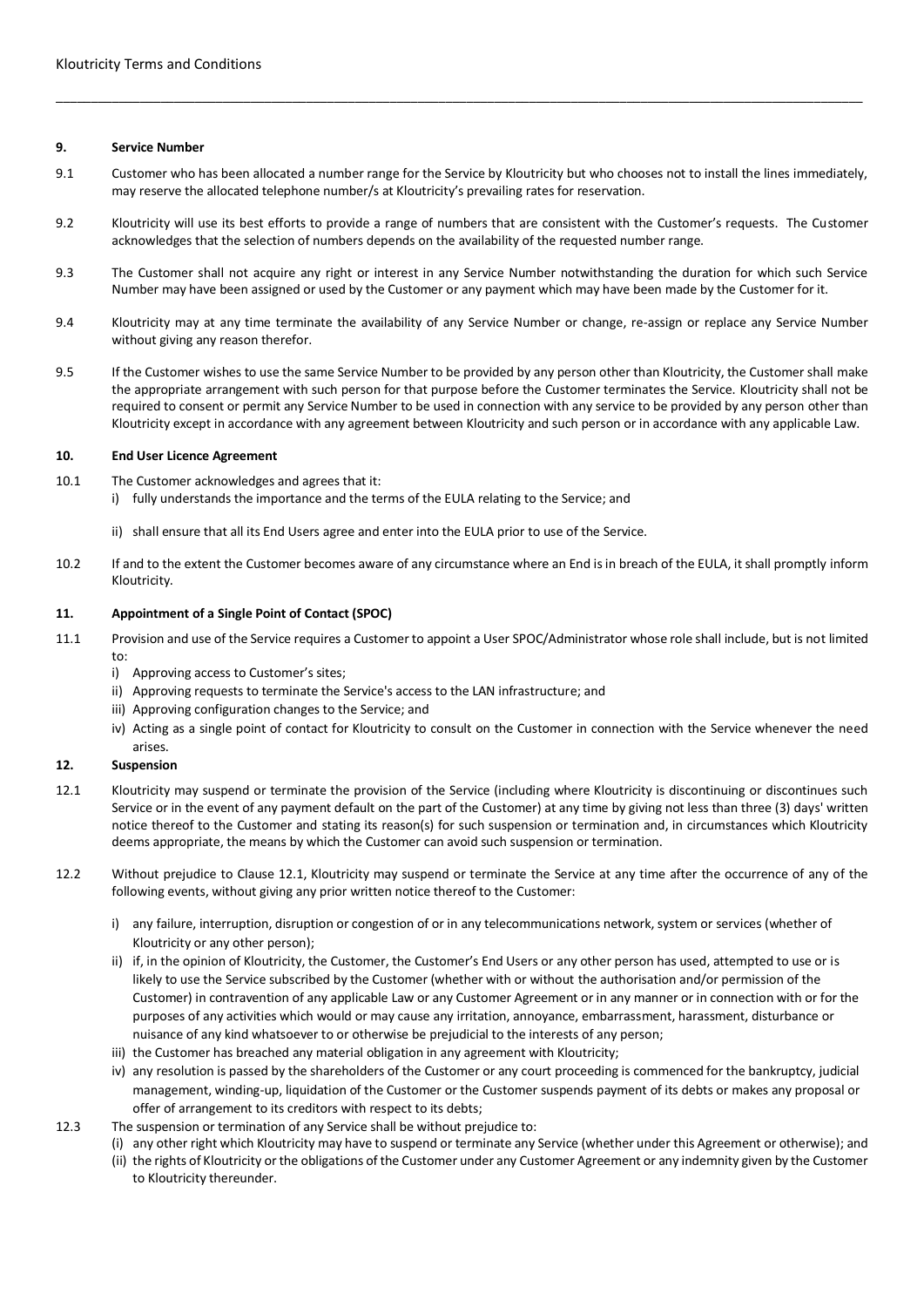### **9. Service Number**

9.1 Customer who has been allocated a number range for the Service by Kloutricity but who chooses not to install the lines immediately, may reserve the allocated telephone number/s at Kloutricity's prevailing rates for reservation.

\_\_\_\_\_\_\_\_\_\_\_\_\_\_\_\_\_\_\_\_\_\_\_\_\_\_\_\_\_\_\_\_\_\_\_\_\_\_\_\_\_\_\_\_\_\_\_\_\_\_\_\_\_\_\_\_\_\_\_\_\_\_\_\_\_\_\_\_\_\_\_\_\_\_\_\_\_\_\_\_\_\_\_\_\_\_\_\_\_\_\_\_\_\_\_\_\_\_\_\_\_\_\_\_\_\_\_\_\_\_\_\_\_\_\_\_

- 9.2 Kloutricity will use its best efforts to provide a range of numbers that are consistent with the Customer's requests. The Customer acknowledges that the selection of numbers depends on the availability of the requested number range.
- 9.3 The Customer shall not acquire any right or interest in any Service Number notwithstanding the duration for which such Service Number may have been assigned or used by the Customer or any payment which may have been made by the Customer for it.
- 9.4 Kloutricity may at any time terminate the availability of any Service Number or change, re-assign or replace any Service Number without giving any reason therefor.
- 9.5 If the Customer wishes to use the same Service Number to be provided by any person other than Kloutricity, the Customer shall make the appropriate arrangement with such person for that purpose before the Customer terminates the Service. Kloutricity shall not be required to consent or permit any Service Number to be used in connection with any service to be provided by any person other than Kloutricity except in accordance with any agreement between Kloutricity and such person or in accordance with any applicable Law.

### **10. End User Licence Agreement**

- 10.1 The Customer acknowledges and agrees that it:
	- i) fully understands the importance and the terms of the EULA relating to the Service; and
	- ii) shall ensure that all its End Users agree and enter into the EULA prior to use of the Service.
- 10.2 If and to the extent the Customer becomes aware of any circumstance where an End is in breach of the EULA, it shall promptly inform Kloutricity.

#### **11. Appointment of a Single Point of Contact (SPOC)**

- 11.1 Provision and use of the Service requires a Customer to appoint a User SPOC/Administrator whose role shall include, but is not limited to:
	- i) Approving access to Customer's sites;
	- ii) Approving requests to terminate the Service's access to the LAN infrastructure; and
	- iii) Approving configuration changes to the Service; and
	- iv) Acting as a single point of contact for Kloutricity to consult on the Customer in connection with the Service whenever the need arises.

### **12. Suspension**

- 12.1 Kloutricity may suspend or terminate the provision of the Service (including where Kloutricity is discontinuing or discontinues such Service or in the event of any payment default on the part of the Customer) at any time by giving not less than three (3) days' written notice thereof to the Customer and stating its reason(s) for such suspension or termination and, in circumstances which Kloutricity deems appropriate, the means by which the Customer can avoid such suspension or termination.
- 12.2 Without prejudice to Clause 12.1, Kloutricity may suspend or terminate the Service at any time after the occurrence of any of the following events, without giving any prior written notice thereof to the Customer:
	- i) any failure, interruption, disruption or congestion of or in any telecommunications network, system or services (whether of Kloutricity or any other person);
	- ii) if, in the opinion of Kloutricity, the Customer, the Customer's End Users or any other person has used, attempted to use or is likely to use the Service subscribed by the Customer (whether with or without the authorisation and/or permission of the Customer) in contravention of any applicable Law or any Customer Agreement or in any manner or in connection with or for the purposes of any activities which would or may cause any irritation, annoyance, embarrassment, harassment, disturbance or nuisance of any kind whatsoever to or otherwise be prejudicial to the interests of any person;
	- iii) the Customer has breached any material obligation in any agreement with Kloutricity;
	- iv) any resolution is passed by the shareholders of the Customer or any court proceeding is commenced for the bankruptcy, judicial management, winding-up, liquidation of the Customer or the Customer suspends payment of its debts or makes any proposal or offer of arrangement to its creditors with respect to its debts;
- 12.3 The suspension or termination of any Service shall be without prejudice to:
	- (i) any other right which Kloutricity may have to suspend or terminate any Service (whether under this Agreement or otherwise); and
	- (ii) the rights of Kloutricity or the obligations of the Customer under any Customer Agreement or any indemnity given by the Customer to Kloutricity thereunder.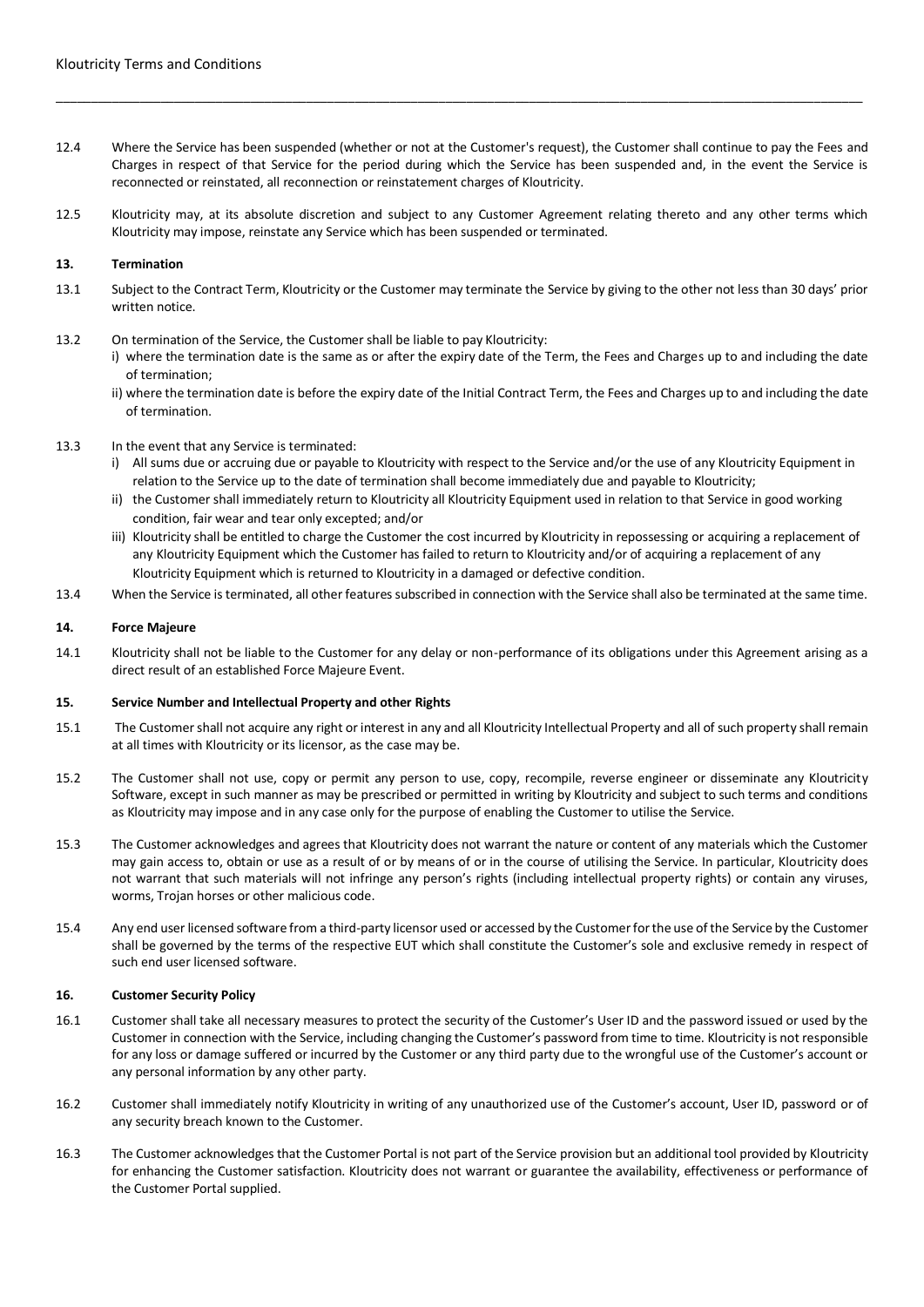12.4 Where the Service has been suspended (whether or not at the Customer's request), the Customer shall continue to pay the Fees and Charges in respect of that Service for the period during which the Service has been suspended and, in the event the Service is reconnected or reinstated, all reconnection or reinstatement charges of Kloutricity.

\_\_\_\_\_\_\_\_\_\_\_\_\_\_\_\_\_\_\_\_\_\_\_\_\_\_\_\_\_\_\_\_\_\_\_\_\_\_\_\_\_\_\_\_\_\_\_\_\_\_\_\_\_\_\_\_\_\_\_\_\_\_\_\_\_\_\_\_\_\_\_\_\_\_\_\_\_\_\_\_\_\_\_\_\_\_\_\_\_\_\_\_\_\_\_\_\_\_\_\_\_\_\_\_\_\_\_\_\_\_\_\_\_\_\_\_

12.5 Kloutricity may, at its absolute discretion and subject to any Customer Agreement relating thereto and any other terms which Kloutricity may impose, reinstate any Service which has been suspended or terminated.

### **13. Termination**

- 13.1 Subject to the Contract Term, Kloutricity or the Customer may terminate the Service by giving to the other not less than 30 days' prior written notice.
- 13.2 On termination of the Service, the Customer shall be liable to pay Kloutricity:
	- i) where the termination date is the same as or after the expiry date of the Term, the Fees and Charges up to and including the date of termination;
	- ii) where the termination date is before the expiry date of the Initial Contract Term, the Fees and Charges up to and including the date of termination.
- 13.3 In the event that any Service is terminated:
	- i) All sums due or accruing due or payable to Kloutricity with respect to the Service and/or the use of any Kloutricity Equipment in relation to the Service up to the date of termination shall become immediately due and payable to Kloutricity;
	- ii) the Customer shall immediately return to Kloutricity all Kloutricity Equipment used in relation to that Service in good working condition, fair wear and tear only excepted; and/or
	- iii) Kloutricity shall be entitled to charge the Customer the cost incurred by Kloutricity in repossessing or acquiring a replacement of any Kloutricity Equipment which the Customer has failed to return to Kloutricity and/or of acquiring a replacement of any Kloutricity Equipment which is returned to Kloutricity in a damaged or defective condition.
- 13.4 When the Service is terminated, all other features subscribed in connection with the Service shall also be terminated at the same time.

#### **14. Force Majeure**

14.1 Kloutricity shall not be liable to the Customer for any delay or non-performance of its obligations under this Agreement arising as a direct result of an established Force Majeure Event.

### **15. Service Number and Intellectual Property and other Rights**

- 15.1 The Customer shall not acquire any right or interest in any and all Kloutricity Intellectual Property and all of such property shall remain at all times with Kloutricity or its licensor, as the case may be.
- 15.2 The Customer shall not use, copy or permit any person to use, copy, recompile, reverse engineer or disseminate any Kloutricity Software, except in such manner as may be prescribed or permitted in writing by Kloutricity and subject to such terms and conditions as Kloutricity may impose and in any case only for the purpose of enabling the Customer to utilise the Service.
- 15.3 The Customer acknowledges and agrees that Kloutricity does not warrant the nature or content of any materials which the Customer may gain access to, obtain or use as a result of or by means of or in the course of utilising the Service. In particular, Kloutricity does not warrant that such materials will not infringe any person's rights (including intellectual property rights) or contain any viruses, worms, Trojan horses or other malicious code.
- 15.4 Any end user licensed software from a third-party licensor used or accessed by the Customer for the use of the Service by the Customer shall be governed by the terms of the respective EUT which shall constitute the Customer's sole and exclusive remedy in respect of such end user licensed software.

#### **16. Customer Security Policy**

- 16.1 Customer shall take all necessary measures to protect the security of the Customer's User ID and the password issued or used by the Customer in connection with the Service, including changing the Customer's password from time to time. Kloutricity is not responsible for any loss or damage suffered or incurred by the Customer or any third party due to the wrongful use of the Customer's account or any personal information by any other party.
- 16.2 Customer shall immediately notify Kloutricity in writing of any unauthorized use of the Customer's account, User ID, password or of any security breach known to the Customer.
- 16.3 The Customer acknowledges that the Customer Portal is not part of the Service provision but an additional tool provided by Kloutricity for enhancing the Customer satisfaction. Kloutricity does not warrant or guarantee the availability, effectiveness or performance of the Customer Portal supplied.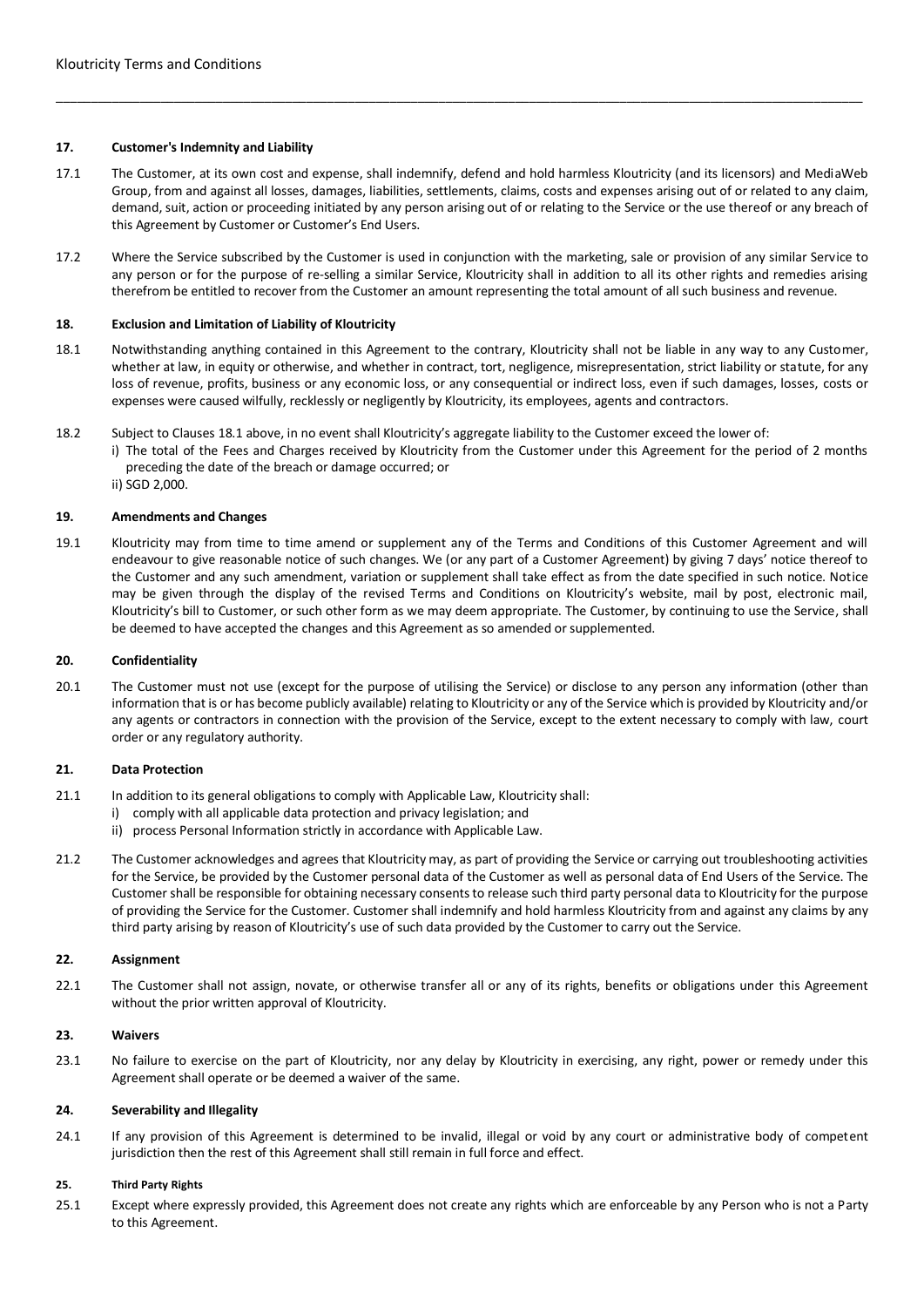# **17. Customer's Indemnity and Liability**

17.1 The Customer, at its own cost and expense, shall indemnify, defend and hold harmless Kloutricity (and its licensors) and MediaWeb Group, from and against all losses, damages, liabilities, settlements, claims, costs and expenses arising out of or related to any claim, demand, suit, action or proceeding initiated by any person arising out of or relating to the Service or the use thereof or any breach of this Agreement by Customer or Customer's End Users.

\_\_\_\_\_\_\_\_\_\_\_\_\_\_\_\_\_\_\_\_\_\_\_\_\_\_\_\_\_\_\_\_\_\_\_\_\_\_\_\_\_\_\_\_\_\_\_\_\_\_\_\_\_\_\_\_\_\_\_\_\_\_\_\_\_\_\_\_\_\_\_\_\_\_\_\_\_\_\_\_\_\_\_\_\_\_\_\_\_\_\_\_\_\_\_\_\_\_\_\_\_\_\_\_\_\_\_\_\_\_\_\_\_\_\_\_

17.2 Where the Service subscribed by the Customer is used in conjunction with the marketing, sale or provision of any similar Service to any person or for the purpose of re-selling a similar Service, Kloutricity shall in addition to all its other rights and remedies arising therefrom be entitled to recover from the Customer an amount representing the total amount of all such business and revenue.

### **18. Exclusion and Limitation of Liability of Kloutricity**

- 18.1 Notwithstanding anything contained in this Agreement to the contrary, Kloutricity shall not be liable in any way to any Customer, whether at law, in equity or otherwise, and whether in contract, tort, negligence, misrepresentation, strict liability or statute, for any loss of revenue, profits, business or any economic loss, or any consequential or indirect loss, even if such damages, losses, costs or expenses were caused wilfully, recklessly or negligently by Kloutricity, its employees, agents and contractors.
- 18.2 Subject to Clauses 18.1 above, in no event shall Kloutricity's aggregate liability to the Customer exceed the lower of:
	- i) The total of the Fees and Charges received by Kloutricity from the Customer under this Agreement for the period of 2 months preceding the date of the breach or damage occurred; or
		- ii) SGD 2,000.

### **19. Amendments and Changes**

19.1 Kloutricity may from time to time amend or supplement any of the Terms and Conditions of this Customer Agreement and will endeavour to give reasonable notice of such changes. We (or any part of a Customer Agreement) by giving 7 days' notice thereof to the Customer and any such amendment, variation or supplement shall take effect as from the date specified in such notice. Notice may be given through the display of the revised Terms and Conditions on Kloutricity's website, mail by post, electronic mail, Kloutricity's bill to Customer, or such other form as we may deem appropriate. The Customer, by continuing to use the Service, shall be deemed to have accepted the changes and this Agreement as so amended or supplemented.

#### **20. Confidentiality**

20.1 The Customer must not use (except for the purpose of utilising the Service) or disclose to any person any information (other than information that is or has become publicly available) relating to Kloutricity or any of the Service which is provided by Kloutricity and/or any agents or contractors in connection with the provision of the Service, except to the extent necessary to comply with law, court order or any regulatory authority.

#### **21. Data Protection**

- 21.1 In addition to its general obligations to comply with Applicable Law, Kloutricity shall:
	- i) comply with all applicable data protection and privacy legislation; and
	- ii) process Personal Information strictly in accordance with Applicable Law.
- 21.2 The Customer acknowledges and agrees that Kloutricity may, as part of providing the Service or carrying out troubleshooting activities for the Service, be provided by the Customer personal data of the Customer as well as personal data of End Users of the Service. The Customer shall be responsible for obtaining necessary consents to release such third party personal data to Kloutricity for the purpose of providing the Service for the Customer. Customer shall indemnify and hold harmless Kloutricity from and against any claims by any third party arising by reason of Kloutricity's use of such data provided by the Customer to carry out the Service.

### **22. Assignment**

22.1 The Customer shall not assign, novate, or otherwise transfer all or any of its rights, benefits or obligations under this Agreement without the prior written approval of Kloutricity.

### **23. Waivers**

23.1 No failure to exercise on the part of Kloutricity, nor any delay by Kloutricity in exercising, any right, power or remedy under this Agreement shall operate or be deemed a waiver of the same.

### **24. Severability and Illegality**

24.1 If any provision of this Agreement is determined to be invalid, illegal or void by any court or administrative body of competent jurisdiction then the rest of this Agreement shall still remain in full force and effect.

#### **25. Third Party Rights**

25.1 Except where expressly provided, this Agreement does not create any rights which are enforceable by any Person who is not a Party to this Agreement.